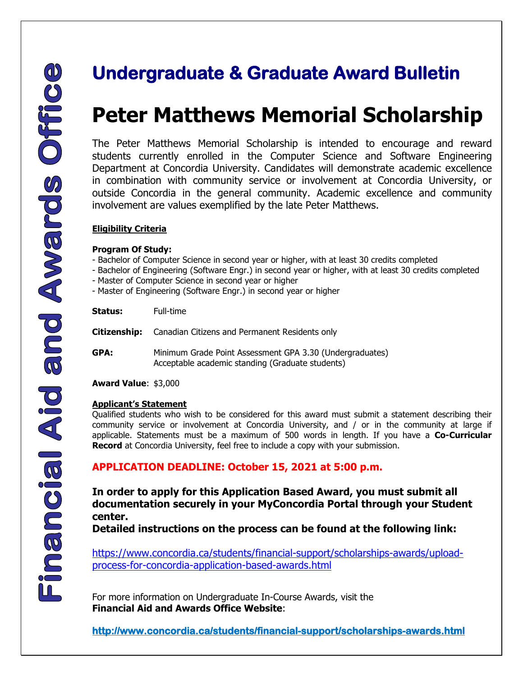## **Peter Matthews Memorial Scholarship**

**Undergraduate & Graduate Award Bulletin**<br> **Peter Matthews Memorial Scholarsh <br>
The Peter Matthews Memorial Scholarsh is intended to encourage and<br>
students currently envioled in the Computer Science and Software Engli<br>
De** The Peter Matthews Memorial Scholarship is intended to encourage and reward students currently enrolled in the Computer Science and Software Engineering Department at Concordia University. Candidates will demonstrate academic excellence in combination with community service or involvement at Concordia University, or outside Concordia in the general community. Academic excellence and community involvement are values exemplified by the late Peter Matthews.

#### **Eligibility Criteria**

#### **Program Of Study:**

- Bachelor of Computer Science in second year or higher, with at least 30 credits completed
- Bachelor of Engineering (Software Engr.) in second year or higher, with at least 30 credits completed
- Master of Computer Science in second year or higher
- Master of Engineering (Software Engr.) in second year or higher

| Status: | Full-time                                                                                                    |
|---------|--------------------------------------------------------------------------------------------------------------|
|         | <b>Citizenship:</b> Canadian Citizens and Permanent Residents only                                           |
| GPA:    | Minimum Grade Point Assessment GPA 3.30 (Undergraduates)<br>Acceptable academic standing (Graduate students) |

**Award Value**: \$3,000

#### **Applicant's Statement**

Qualified students who wish to be considered for this award must submit a statement describing their community service or involvement at Concordia University, and / or in the community at large if applicable. Statements must be a maximum of 500 words in length. If you have a **Co-Curricular Record** at Concordia University, feel free to include a copy with your submission.

#### **APPLICATION DEADLINE: October 15, 2021 at 5:00 p.m.**

**In order to apply for this Application Based Award, you must submit all documentation securely in your MyConcordia Portal through your Student center.** 

**Detailed instructions on the process can be found at the following link:** 

[https://www.concordia.ca/students/financial-support/scholarships-awards/upload](https://www.concordia.ca/students/financial-support/scholarships-awards/upload-process-for-concordia-application-based-awards.html)[process-for-concordia-application-based-awards.html](https://www.concordia.ca/students/financial-support/scholarships-awards/upload-process-for-concordia-application-based-awards.html)

 For more information on Undergraduate In-Course Awards, visit the **Financial Aid and Awards Office Website**:

 **http://www.concordia.ca/students/financial-support/scholarships-awards.html**